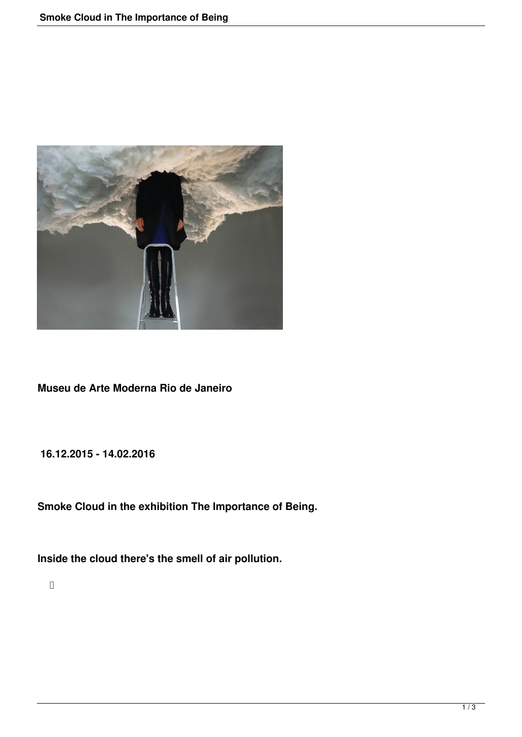

**Museu de Arte Moderna Rio de Janeiro**

**16.12.2015 - 14.02.2016**

**Smoke Cloud in the exhibition The Importance of Being.** 

**Inside the cloud there's the smell of air pollution.**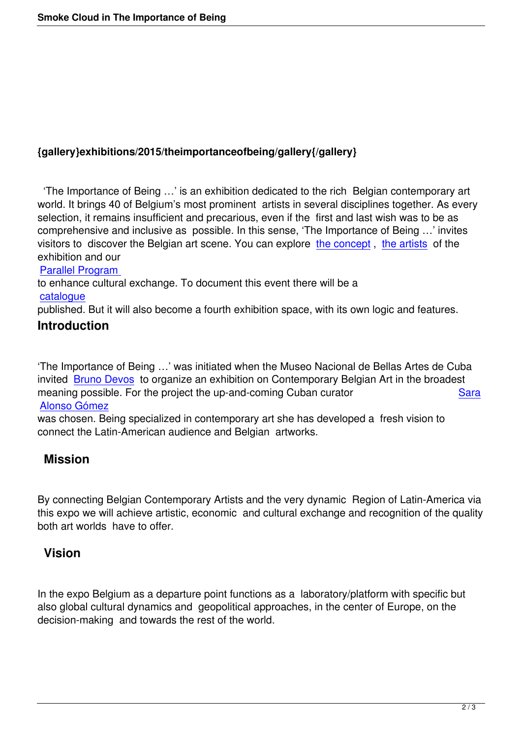#### **{gallery}exhibitions/2015/theimportanceofbeing/gallery{/gallery}**

 'The Importance of Being …' is an exhibition dedicated to the rich Belgian contemporary art world. It brings 40 of Belgium's most prominent artists in several disciplines together. As every selection, it remains insufficient and precarious, even if the first and last wish was to be as comprehensive and inclusive as possible. In this sense, 'The Importance of Being …' invites visitors to discover the Belgian art scene. You can explore the concept , the artists of the exhibition and our

#### Parallel Program

to enhance cultural exchange. To document this event ther[e will be a](http://theimportanceofbeing.be/artistic-concept)  catalogue

[published. But it w](http://theimportanceofbeing.be/parallell-program)ill also become a fourth exhibition space, with its own logic and features.

## **Introduction**

'The Importance of Being …' was initiated when the Museo Nacional de Bellas Artes de Cuba invited Bruno Devos to organize an exhibition on Contemporary Belgian Art in the broadest meaning possible. For the project the up-and-coming Cuban curator Sara Alonso Gómez

was ch[osen. Being sp](http://theimportanceofbeing.be/bruno-devos)ecialized in contemporary art she has developed a fresh vision to connect the Latin-American audience and Belgian artworks.

# **[Mission](http://theimportanceofbeing.be/sara-alonso-gomez)**

By connecting Belgian Contemporary Artists and the very dynamic Region of Latin-America via this expo we will achieve artistic, economic and cultural exchange and recognition of the quality both art worlds have to offer.

### **Vision**

In the expo Belgium as a departure point functions as a laboratory/platform with specific but also global cultural dynamics and geopolitical approaches, in the center of Europe, on the decision-making and towards the rest of the world.